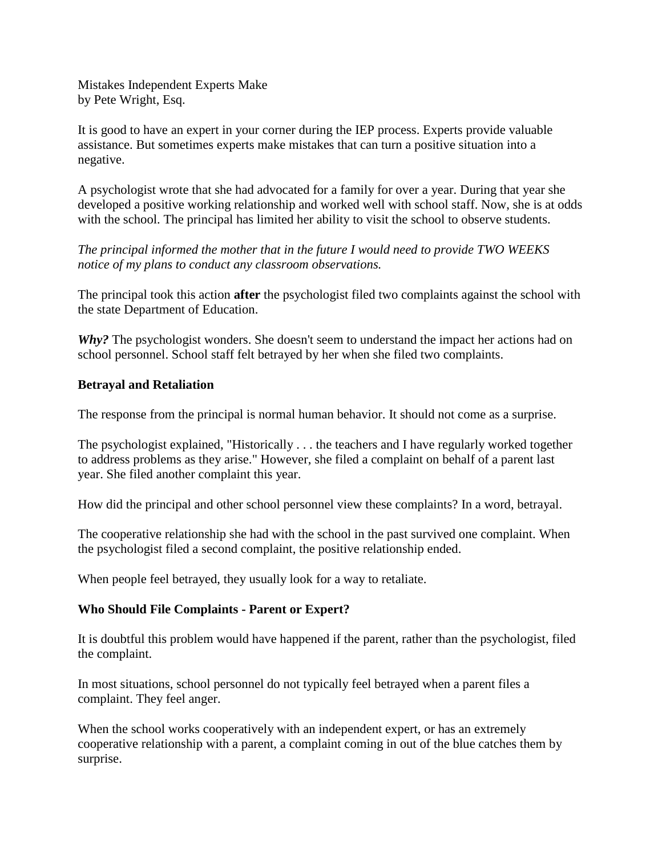Mistakes Independent Experts Make by Pete Wright, Esq.

It is good to have an expert in your corner during the IEP process. Experts provide valuable assistance. But sometimes experts make mistakes that can turn a positive situation into a negative.

A psychologist wrote that she had advocated for a family for over a year. During that year she developed a positive working relationship and worked well with school staff. Now, she is at odds with the school. The principal has limited her ability to visit the school to observe students.

*The principal informed the mother that in the future I would need to provide TWO WEEKS notice of my plans to conduct any classroom observations.*

The principal took this action **after** the psychologist filed two complaints against the school with the state Department of Education.

*Why?* The psychologist wonders. She doesn't seem to understand the impact her actions had on school personnel. School staff felt betrayed by her when she filed two complaints.

## **Betrayal and Retaliation**

The response from the principal is normal human behavior. It should not come as a surprise.

The psychologist explained, "Historically . . . the teachers and I have regularly worked together to address problems as they arise." However, she filed a complaint on behalf of a parent last year. She filed another complaint this year.

How did the principal and other school personnel view these complaints? In a word, betrayal.

The cooperative relationship she had with the school in the past survived one complaint. When the psychologist filed a second complaint, the positive relationship ended.

When people feel betrayed, they usually look for a way to retaliate.

## **Who Should File Complaints - Parent or Expert?**

It is doubtful this problem would have happened if the parent, rather than the psychologist, filed the complaint.

In most situations, school personnel do not typically feel betrayed when a parent files a complaint. They feel anger.

When the school works cooperatively with an independent expert, or has an extremely cooperative relationship with a parent, a complaint coming in out of the blue catches them by surprise.